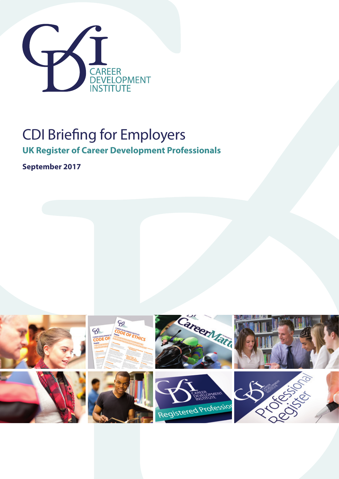

# CDI Briefing for Employers

**UK Register of Career Development Professionals**

**September 2017**

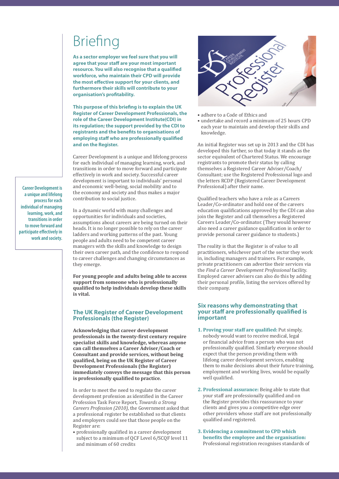# Briefing

**As a sector employer we feel sure that you will agree that your staff are your most important resource. You will also recognise that a qualified workforce, who maintain their CPD will provide the most effective support for your clients, and furthermore their skills will contribute to your organisation's profitability.** 

**This purpose of this briefing is to explain the UK Register of Career Development Professionals, the role of the Career Development Institute(CDI) in its regulation; the support provided by the CDI to registrants and the benefits to organisations of employing staff who are professionally qualified and on the Register.** 

Career Development is a unique and lifelong process for each individual of managing learning, work, and transitions in order to move forward and participate effectively in work and society. Successful career development is important to individuals' personal and economic well-being, social mobility and to the economy and society and thus makes a major contribution to social justice.

In a dynamic world with many challenges and opportunities for individuals and societies, assumptions about careers are being turned on their heads. It is no longer possible to rely on the career ladders and working patterns of the past. Young people and adults need to be competent career managers with the skills and knowledge to design their own career path, and the confidence to respond to career challenges and changing circumstances as they emerge.

**For young people and adults being able to access support from someone who is professionally qualified to help individuals develop these skills is vital.**

#### **The UK Register of Career Development Professionals (the Register)**

**Acknowledging that career development professionals in the twenty-first century require specialist skills and knowledge, whereas anyone can call themselves a Career Adviser/Coach or Consultant and provide services, without being qualified, being on the UK Register of Career Development Professionals (the Register) immediately conveys the message that this person is professionally qualified to practice.**

In order to meet the need to regulate the career development profession as identified in the Career Profession Task Force Report, *Towards a Strong Careers Profession (2010)*, the Government asked that a professional register be established so that clients and employers could see that those people on the Register are:

• professionally qualified in a career development subject to a minimum of QCF Level 6/SCQF level 11 and minimum of 60 credits



- adhere to a Code of Ethics and
- undertake and record a minimum of 25 hours CPD each year to maintain and develop their skills and knowledge.

An initial Register was set up in 2013 and the CDI has developed this further, so that today it stands as the sector equivalent of Chartered Status. We encourage registrants to promote their status by calling themselves a Registered Career Adviser/Coach/ Consultant; use the Registered Professional logo and the letters RCDP (Registered Career Development Professional) after their name.

Qualified teachers who have a role as a Careers Leader/Co-ordinator and hold one of the careers education qualifications approved by the CDI can also join the Register and call themselves a Registered Careers Leader/Co-ordinator. (They would however also need a career guidance qualification in order to provide personal career guidance to students.)

The reality is that the Register is of value to all practitioners, whichever part of the sector they work in, including managers and trainers. For example, private practitioners can advertise their services via the *Find a Career Development Professional* facility. Employed career advisers can also do this by adding their personal profile, listing the services offered by their company.

#### **Six reasons why demonstrating that your staff are professionally qualified is important**

- **1. Proving your staff are qualified:** Put simply, nobody would want to receive medical, legal or financial advice from a person who was not professionally qualified. Similarly everyone should expect that the person providing them with lifelong career development services, enabling them to make decisions about their future training, employment and working lives, would be equally well qualified.
- **2. Professional assurance:** Being able to state that your staff are professionally qualified and on the Register provides this reassurance to your clients and gives you a competitive edge over other providers whose staff are not professionally qualified and registered.
- **3. Evidencing a commitment to CPD which benefits the employee and the organisation:** Professional registration recognises standards of

**Career Development is a unique and lifelong process for each individual of managing learning, work, and transitions in order to move forward and participate effectively in work and society.**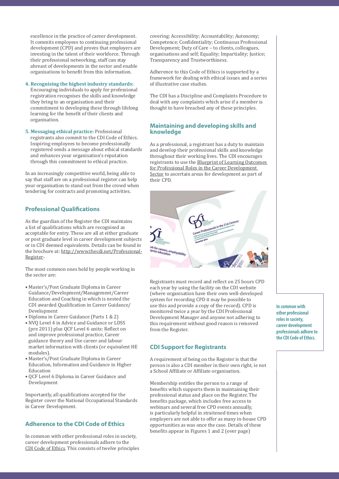excellence in the practice of career development. It commits employees to continuing professional development (CPD) and proves that employers are investing in the talent of their workforce. Through their professional networking, staff can stay abreast of developments in the sector and enable organisations to benefit from this information.

#### **4. Recognising the highest industry standards:**

Encouraging individuals to apply for professional registration recognises the skills and knowledge they bring to an organisation and their commitment to developing these through lifelong learning for the benefit of their clients and organisation.

**5. Messaging ethical practice:** Professional registrants also commit to the CDI Code of Ethics. Inspiring employees to become professionally registered sends a message about ethical standards and enhances your organisation's reputation through this commitment to ethical practice.

In an increasingly competitive world, being able to say that staff are on a professional register can help your organisation to stand out from the crowd when tendering for contracts and promoting activities.

### **Professional Qualifications**

As the guardian of the Register the CDI maintains a list of qualifications which are recognised as acceptable for entry. These are all at either graduate or post graduate level in career development subjects or in CDI deemed equivalents. Details can be found in the brochure at: http://www.thecdi.net/Professional-Register-

The most common ones held by people working in the sector are:

- Master's/Post Graduate Diploma in Career Guidance/Development/Management/Career Education and Coaching in which is nested the CDI awarded Qualification in Career Guidance/ Development
- Diploma in Career Guidance (Parts 1 & 2)
- NVQ Level 4 in Advice and Guidance or LDSS (pre 2011) plus QCF Level 6 units: Reflect on and improve professional practice, Career guidance theory and Use career and labour market information with clients (or equivalent HE modules).
- Master's/Post Graduate Diploma in Career Education, Information and Guidance in Higher Education
- QCF Level 6 Diploma in Career Guidance and Development

Importantly, all qualifications accepted for the Register cover the National Occupational Standards in Career Development.

# **Adherence to the CDI Code of Ethics**

In common with other professional roles in society, career development professionals adhere to the CDI Code of Ethics. This consists of twelve principles covering: Accessibility; Accountability; Autonomy; Competence; Confidentiality; Continuous Professional Development; Duty of Care – to clients, colleagues, organisations and self; Equality; Impartiality; Justice; Transparency and Trustworthiness.

Adherence to this Code of Ethics is supported by a framework for dealing with ethical issues and a series of illustrative case studies.

The CDI has a Discipline and Complaints Procedure to deal with any complaints which arise if a member is thought to have breached any of these principles.

#### **Maintaining and developing skills and knowledge**

As a professional, a registrant has a duty to maintain and develop their professional skills and knowledge throughout their working lives. The CDI encourages registrants to use the Blueprint of Learning Outcomes for Professional Roles in the Career Development Sector to ascertain areas for development as part of their CPD.



Registrants must record and reflect on 25 hours CPD each year by using the facility on the CDI website (where organisation have their own well-developed system for recording CPD it may be possible to use this and provide a copy of the record). CPD is monitored twice a year by the CDI Professional Development Manager and anyone not adhering to this requirement without good reason is removed from the Register.

# **CDI Support for Registrants**

A requirement of being on the Register is that the person is also a CDI member in their own right, ie not a School Affiliate or Affiliate organisation.

Membership entitles the person to a range of benefits which supports them in maintaining their professional status and place on the Register. The benefits package, which includes free access to webinars and several free CPD events annually, is particularly helpful in straitened times when employers are not able to offer as many in-house CPD opportunities as was once the case. Details of these benefits appear in Figures 1 and 2 (over page)

**In common with other professional roles in society, career development professionals adhere to the CDI Code of Ethics.**